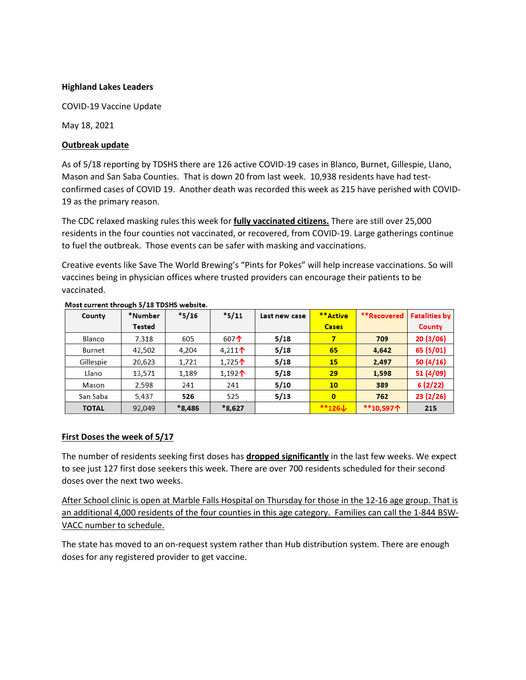# **Highland Lakes Leaders**

COVID-19 Vaccine Update

May 18, 2021

# **Outbreak update**

As of 5/18 reporting by TDSHS there are 126 active COVID-19 cases in Blanco, Burnet, Gillespie, Llano, Mason and San Saba Counties. That is down 20 from last week. 10,938 residents have had testconfirmed cases of COVID 19. Another death was recorded this week as 215 have perished with COVID-19 as the primary reason.

The CDC relaxed masking rules this week for **fully vaccinated citizens.** There are still over 25,000 residents in the four counties not vaccinated, or recovered, from COVID-19. Large gatherings continue to fuel the outbreak. Those events can be safer with masking and vaccinations.

Creative events like Save The World Brewing's "Pints for Pokes" will help increase vaccinations. So will vaccines being in physician offices where trusted providers can encourage their patients to be vaccinated.

| County       | *Number | $*5/16$  | $*5/11$            | Last new case | **Active             | **Recovered | <b>Fatalities by</b> |
|--------------|---------|----------|--------------------|---------------|----------------------|-------------|----------------------|
|              | Tested  |          |                    |               | <b>Cases</b>         |             | County               |
| Blanco       | 7,318   | 605      | 607 $\uparrow$     | 5/18          | 7                    | 709         | 20 (3/06)            |
| Burnet       | 42,502  | 4,204    | 4,211 $\uparrow$   | 5/18          | 65                   | 4,642       | 65 (5/01)            |
| Gillespie    | 20,623  | 1,721    | 1,725个             | 5/18          | 15                   | 2,497       | 50(4/16)             |
| Llano        | 13,571  | 1,189    | 1,192 <sup>1</sup> | 5/18          | 29                   | 1,598       | 51 (4/09)            |
| Mason        | 2,598   | 241      | 241                | 5/10          | 10 <sub>1</sub>      | 389         | 6(2/22)              |
| San Saba     | 5,437   | 526      | 525                | 5/13          | $\mathbf{0}$         | 762         | 23(2/26)             |
| <b>TOTAL</b> | 92,049  | $*8.486$ | $*8,627$           |               | $**126 \n\downarrow$ | **10,597个   | 215                  |

### Most current through 5/18 TDSHS website.

# **First Doses the week of 5/17**

The number of residents seeking first doses has **dropped significantly** in the last few weeks. We expect to see just 127 first dose seekers this week. There are over 700 residents scheduled for their second doses over the next two weeks.

After School clinic is open at Marble Falls Hospital on Thursday for those in the 12-16 age group. That is an additional 4,000 residents of the four counties in this age category. Families can call the 1-844 BSW-VACC number to schedule.

The state has moved to an on-request system rather than Hub distribution system. There are enough doses for any registered provider to get vaccine.